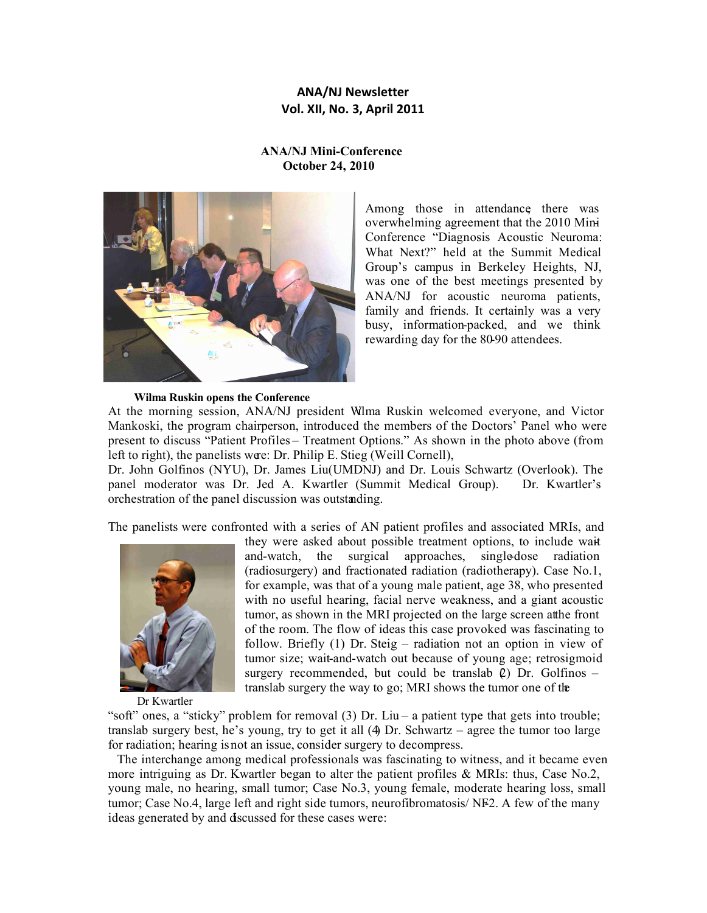# **ANA/NJ Newsletter Vol. XII, No. 3, April 2011**

## **ANA/NJ Mini-Conference October 24, 2010**



Among those in attendance there was overwhelming agreement that the 2010 Mini-Conference "Diagnosis Acoustic Neuroma: What Next?" held at the Summit Medical Group's campus in Berkeley Heights, NJ, was one of the best meetings presented by ANA/NJ for acoustic neuroma patients, family and friends. It certainly was a very busy, information-packed, and we think rewarding day for the 80-90 attendees.

## **Wilma Ruskin opens the Conference**

At the morning session, ANA/NJ president Wilma Ruskin welcomed everyone, and Victor Mankoski, the program chairperson, introduced the members of the Doctors' Panel who were present to discuss "Patient Profiles – Treatment Options." As shown in the photo above (from left to right), the panelists were: Dr. Philip E. Stieg (Weill Cornell),

Dr. John Golfinos (NYU), Dr. James Liu(UMDNJ) and Dr. Louis Schwartz (Overlook). The panel moderator was Dr. Jed A. Kwartler (Summit Medical Group). Dr. Kwartler's orchestration of the panel discussion was outstanding.

The panelists were confronted with a series of AN patient profiles and associated MRIs, and



they were asked about possible treatment options, to include waitand-watch, the surgical approaches, single-dose radiation (radiosurgery) and fractionated radiation (radiotherapy). Case No.1, for example, was that of a young male patient, age 38, who presented with no useful hearing, facial nerve weakness, and a giant acoustic tumor, as shown in the MRI projected on the large screen at the front of the room. The flow of ideas this case provoked was fascinating to follow. Briefly (1) Dr. Steig – radiation not an option in view of tumor size; wait-and-watch out because of young age; retrosigmoid surgery recommended, but could be translab  $\ell$ ) Dr. Golfinos – translab surgery the way to go; MRI shows the tumor one of the

Dr Kwartler

"soft" ones, a "sticky" problem for removal (3) Dr. Liu – a patient type that gets into trouble; translab surgery best, he's young, try to get it all (4) Dr. Schwartz – agree the tumor too large for radiation; hearing is not an issue, consider surgery to decompress.

 The interchange among medical professionals was fascinating to witness, and it became even more intriguing as Dr. Kwartler began to alter the patient profiles & MRIs: thus, Case No.2, young male, no hearing, small tumor; Case No.3, young female, moderate hearing loss, small tumor; Case No.4, large left and right side tumors, neurofibromatosis/ NF2. A few of the many ideas generated by and discussed for these cases were: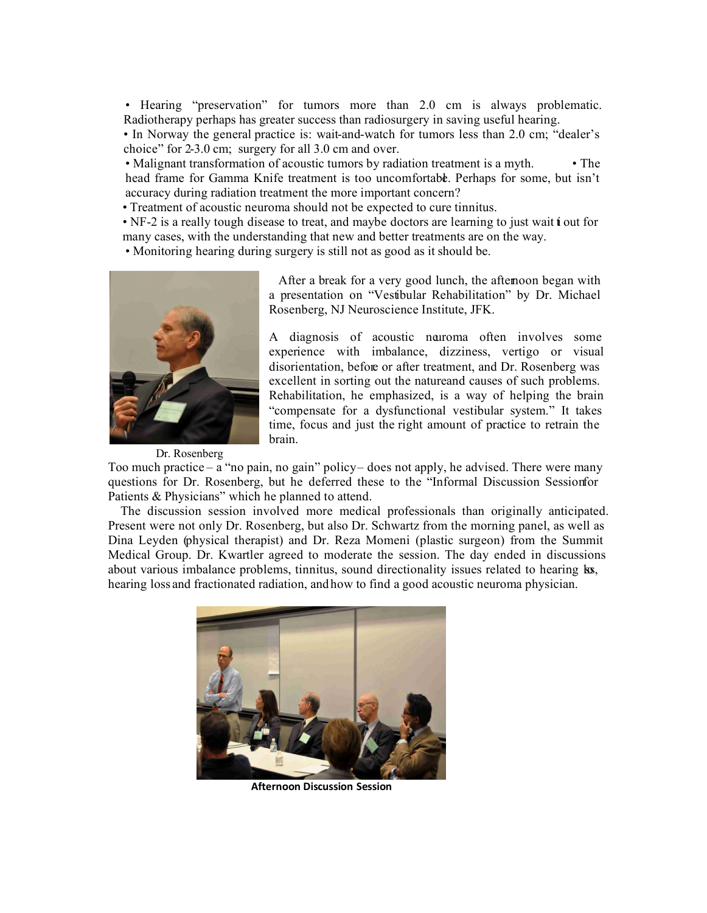• Hearing "preservation" for tumors more than 2.0 cm is always problematic. Radiotherapy perhaps has greater success than radiosurgery in saving useful hearing.

• In Norway the general practice is: wait-and-watch for tumors less than 2.0 cm; "dealer's choice" for 2-3.0 cm; surgery for all 3.0 cm and over.

• Malignant transformation of acoustic tumors by radiation treatment is a myth. • The head frame for Gamma Knife treatment is too uncomfortable. Perhaps for some, but isn't accuracy during radiation treatment the more important concern?

• Treatment of acoustic neuroma should not be expected to cure tinnitus.

• NF-2 is a really tough disease to treat, and maybe doctors are learning to just wait **j** out for many cases, with the understanding that new and better treatments are on the way.

• Monitoring hearing during surgery is still not as good as it should be.



 After a break for a very good lunch, the afternoon began with a presentation on "Vestibular Rehabilitation" by Dr. Michael Rosenberg, NJ Neuroscience Institute, JFK.

A diagnosis of acoustic neuroma often involves some experience with imbalance, dizziness, vertigo or visual disorientation, before or after treatment, and Dr. Rosenberg was excellent in sorting out the natureand causes of such problems. Rehabilitation, he emphasized, is a way of helping the brain "compensate for a dysfunctional vestibular system." It takes time, focus and just the right amount of practice to retrain the brain.

Dr. Rosenberg

Too much practice – a "no pain, no gain" policy – does not apply, he advised. There were many questions for Dr. Rosenberg, but he deferred these to the "Informal Discussion Sessionfor Patients & Physicians" which he planned to attend.

 The discussion session involved more medical professionals than originally anticipated. Present were not only Dr. Rosenberg, but also Dr. Schwartz from the morning panel, as well as Dina Leyden (physical therapist) and Dr. Reza Momeni (plastic surgeon) from the Summit Medical Group. Dr. Kwartler agreed to moderate the session. The day ended in discussions about various imbalance problems, tinnitus, sound directionality issues related to hearing ks, hearing loss and fractionated radiation, andhow to find a good acoustic neuroma physician.



**Afternoon Discussion Session**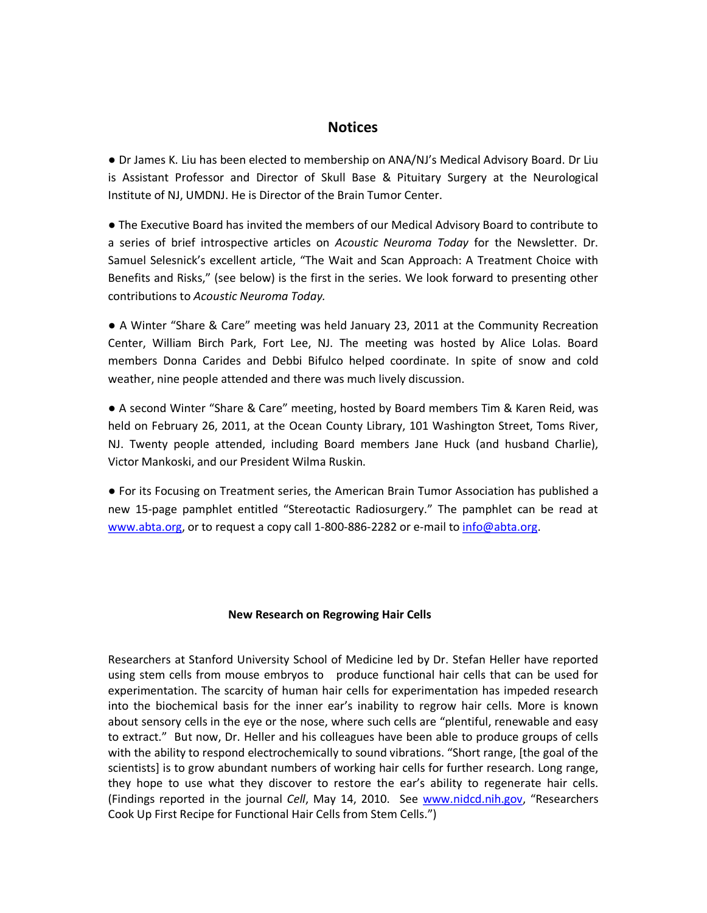# **Notices**

● Dr James K. Liu has been elected to membership on ANA/NJ's Medical Advisory Board. Dr Liu is Assistant Professor and Director of Skull Base & Pituitary Surgery at the Neurological Institute of NJ, UMDNJ. He is Director of the Brain Tumor Center.

● The Executive Board has invited the members of our Medical Advisory Board to contribute to a series of brief introspective articles on *Acoustic Neuroma Today* for the Newsletter. Dr. Samuel Selesnick's excellent article, "The Wait and Scan Approach: A Treatment Choice with Benefits and Risks," (see below) is the first in the series. We look forward to presenting other contributions to *Acoustic Neuroma Today.*

● A Winter "Share & Care" meeting was held January 23, 2011 at the Community Recreation Center, William Birch Park, Fort Lee, NJ. The meeting was hosted by Alice Lolas. Board members Donna Carides and Debbi Bifulco helped coordinate. In spite of snow and cold weather, nine people attended and there was much lively discussion.

● A second Winter "Share & Care" meeting, hosted by Board members Tim & Karen Reid, was held on February 26, 2011, at the Ocean County Library, 101 Washington Street, Toms River, NJ. Twenty people attended, including Board members Jane Huck (and husband Charlie), Victor Mankoski, and our President Wilma Ruskin.

● For its Focusing on Treatment series, the American Brain Tumor Association has published a new 15-page pamphlet entitled "Stereotactic Radiosurgery." The pamphlet can be read at www.abta.org, or to request a copy call 1-800-886-2282 or e-mail to info@abta.org.

## **New Research on Regrowing Hair Cells**

Researchers at Stanford University School of Medicine led by Dr. Stefan Heller have reported using stem cells from mouse embryos to produce functional hair cells that can be used for experimentation. The scarcity of human hair cells for experimentation has impeded research into the biochemical basis for the inner ear's inability to regrow hair cells. More is known about sensory cells in the eye or the nose, where such cells are "plentiful, renewable and easy to extract." But now, Dr. Heller and his colleagues have been able to produce groups of cells with the ability to respond electrochemically to sound vibrations. "Short range, [the goal of the scientists] is to grow abundant numbers of working hair cells for further research. Long range, they hope to use what they discover to restore the ear's ability to regenerate hair cells. (Findings reported in the journal *Cell*, May 14, 2010. See www.nidcd.nih.gov, "Researchers Cook Up First Recipe for Functional Hair Cells from Stem Cells.")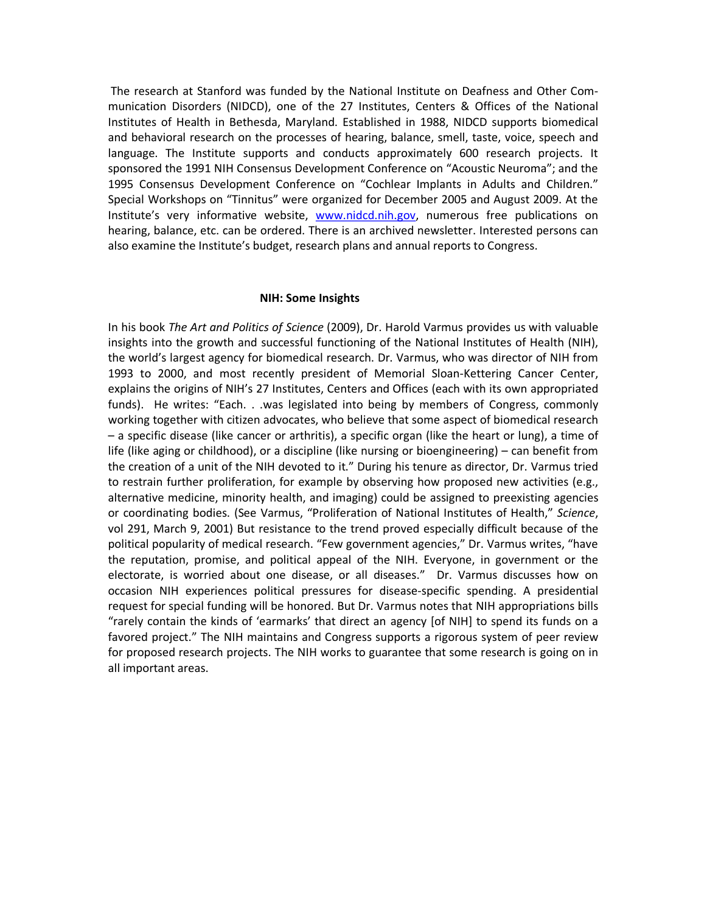The research at Stanford was funded by the National Institute on Deafness and Other Communication Disorders (NIDCD), one of the 27 Institutes, Centers & Offices of the National Institutes of Health in Bethesda, Maryland. Established in 1988, NIDCD supports biomedical and behavioral research on the processes of hearing, balance, smell, taste, voice, speech and language. The Institute supports and conducts approximately 600 research projects. It sponsored the 1991 NIH Consensus Development Conference on "Acoustic Neuroma"; and the 1995 Consensus Development Conference on "Cochlear Implants in Adults and Children." Special Workshops on "Tinnitus" were organized for December 2005 and August 2009. At the Institute's very informative website, www.nidcd.nih.gov, numerous free publications on hearing, balance, etc. can be ordered. There is an archived newsletter. Interested persons can also examine the Institute's budget, research plans and annual reports to Congress.

#### **NIH: Some Insights**

In his book *The Art and Politics of Science* (2009), Dr. Harold Varmus provides us with valuable insights into the growth and successful functioning of the National Institutes of Health (NIH), the world's largest agency for biomedical research. Dr. Varmus, who was director of NIH from 1993 to 2000, and most recently president of Memorial Sloan-Kettering Cancer Center, explains the origins of NIH's 27 Institutes, Centers and Offices (each with its own appropriated funds). He writes: "Each. . .was legislated into being by members of Congress, commonly working together with citizen advocates, who believe that some aspect of biomedical research – a specific disease (like cancer or arthritis), a specific organ (like the heart or lung), a time of life (like aging or childhood), or a discipline (like nursing or bioengineering) – can benefit from the creation of a unit of the NIH devoted to it." During his tenure as director, Dr. Varmus tried to restrain further proliferation, for example by observing how proposed new activities (e.g., alternative medicine, minority health, and imaging) could be assigned to preexisting agencies or coordinating bodies. (See Varmus, "Proliferation of National Institutes of Health," *Science*, vol 291, March 9, 2001) But resistance to the trend proved especially difficult because of the political popularity of medical research. "Few government agencies," Dr. Varmus writes, "have the reputation, promise, and political appeal of the NIH. Everyone, in government or the electorate, is worried about one disease, or all diseases." Dr. Varmus discusses how on occasion NIH experiences political pressures for disease-specific spending. A presidential request for special funding will be honored. But Dr. Varmus notes that NIH appropriations bills "rarely contain the kinds of 'earmarks' that direct an agency [of NIH] to spend its funds on a favored project." The NIH maintains and Congress supports a rigorous system of peer review for proposed research projects. The NIH works to guarantee that some research is going on in all important areas.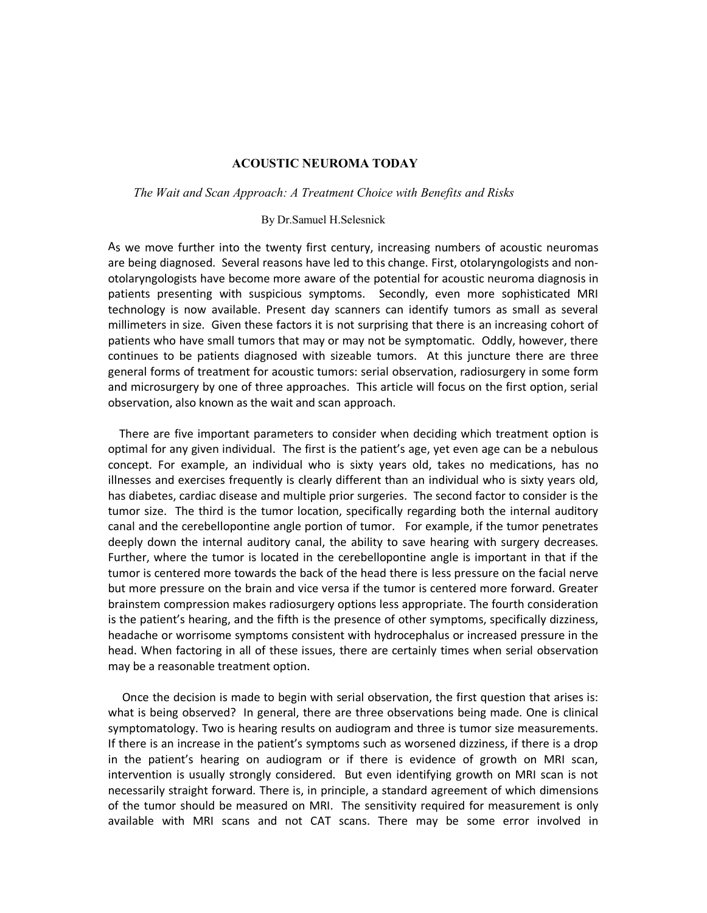## **ACOUSTIC NEUROMA TODAY**

#### *The Wait and Scan Approach: A Treatment Choice with Benefits and Risks*

## By Dr.Samuel H.Selesnick

As we move further into the twenty first century, increasing numbers of acoustic neuromas are being diagnosed. Several reasons have led to this change. First, otolaryngologists and nonotolaryngologists have become more aware of the potential for acoustic neuroma diagnosis in patients presenting with suspicious symptoms. Secondly, even more sophisticated MRI technology is now available. Present day scanners can identify tumors as small as several millimeters in size. Given these factors it is not surprising that there is an increasing cohort of patients who have small tumors that may or may not be symptomatic. Oddly, however, there continues to be patients diagnosed with sizeable tumors. At this juncture there are three general forms of treatment for acoustic tumors: serial observation, radiosurgery in some form and microsurgery by one of three approaches. This article will focus on the first option, serial observation, also known as the wait and scan approach.

 There are five important parameters to consider when deciding which treatment option is optimal for any given individual. The first is the patient's age, yet even age can be a nebulous concept. For example, an individual who is sixty years old, takes no medications, has no illnesses and exercises frequently is clearly different than an individual who is sixty years old, has diabetes, cardiac disease and multiple prior surgeries. The second factor to consider is the tumor size. The third is the tumor location, specifically regarding both the internal auditory canal and the cerebellopontine angle portion of tumor. For example, if the tumor penetrates deeply down the internal auditory canal, the ability to save hearing with surgery decreases. Further, where the tumor is located in the cerebellopontine angle is important in that if the tumor is centered more towards the back of the head there is less pressure on the facial nerve but more pressure on the brain and vice versa if the tumor is centered more forward. Greater brainstem compression makes radiosurgery options less appropriate. The fourth consideration is the patient's hearing, and the fifth is the presence of other symptoms, specifically dizziness, headache or worrisome symptoms consistent with hydrocephalus or increased pressure in the head. When factoring in all of these issues, there are certainly times when serial observation may be a reasonable treatment option.

 Once the decision is made to begin with serial observation, the first question that arises is: what is being observed? In general, there are three observations being made. One is clinical symptomatology. Two is hearing results on audiogram and three is tumor size measurements. If there is an increase in the patient's symptoms such as worsened dizziness, if there is a drop in the patient's hearing on audiogram or if there is evidence of growth on MRI scan, intervention is usually strongly considered. But even identifying growth on MRI scan is not necessarily straight forward. There is, in principle, a standard agreement of which dimensions of the tumor should be measured on MRI. The sensitivity required for measurement is only available with MRI scans and not CAT scans. There may be some error involved in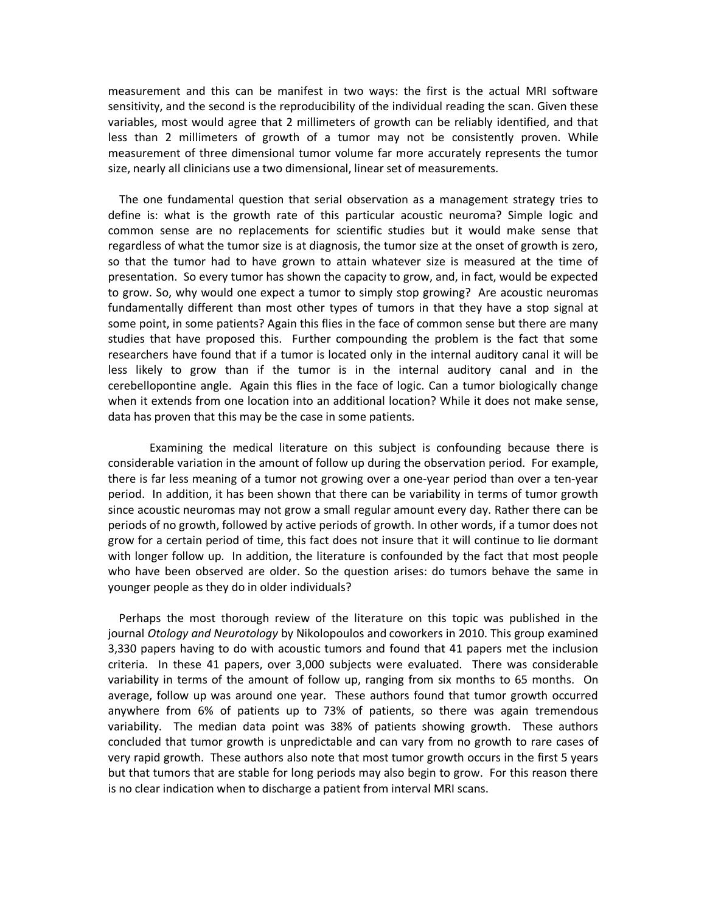measurement and this can be manifest in two ways: the first is the actual MRI software sensitivity, and the second is the reproducibility of the individual reading the scan. Given these variables, most would agree that 2 millimeters of growth can be reliably identified, and that less than 2 millimeters of growth of a tumor may not be consistently proven. While measurement of three dimensional tumor volume far more accurately represents the tumor size, nearly all clinicians use a two dimensional, linear set of measurements.

 The one fundamental question that serial observation as a management strategy tries to define is: what is the growth rate of this particular acoustic neuroma? Simple logic and common sense are no replacements for scientific studies but it would make sense that regardless of what the tumor size is at diagnosis, the tumor size at the onset of growth is zero, so that the tumor had to have grown to attain whatever size is measured at the time of presentation. So every tumor has shown the capacity to grow, and, in fact, would be expected to grow. So, why would one expect a tumor to simply stop growing? Are acoustic neuromas fundamentally different than most other types of tumors in that they have a stop signal at some point, in some patients? Again this flies in the face of common sense but there are many studies that have proposed this. Further compounding the problem is the fact that some researchers have found that if a tumor is located only in the internal auditory canal it will be less likely to grow than if the tumor is in the internal auditory canal and in the cerebellopontine angle. Again this flies in the face of logic. Can a tumor biologically change when it extends from one location into an additional location? While it does not make sense, data has proven that this may be the case in some patients.

Examining the medical literature on this subject is confounding because there is considerable variation in the amount of follow up during the observation period. For example, there is far less meaning of a tumor not growing over a one-year period than over a ten-year period. In addition, it has been shown that there can be variability in terms of tumor growth since acoustic neuromas may not grow a small regular amount every day. Rather there can be periods of no growth, followed by active periods of growth. In other words, if a tumor does not grow for a certain period of time, this fact does not insure that it will continue to lie dormant with longer follow up. In addition, the literature is confounded by the fact that most people who have been observed are older. So the question arises: do tumors behave the same in younger people as they do in older individuals?

 Perhaps the most thorough review of the literature on this topic was published in the journal *Otology and Neurotology* by Nikolopoulos and coworkers in 2010. This group examined 3,330 papers having to do with acoustic tumors and found that 41 papers met the inclusion criteria. In these 41 papers, over 3,000 subjects were evaluated. There was considerable variability in terms of the amount of follow up, ranging from six months to 65 months. On average, follow up was around one year. These authors found that tumor growth occurred anywhere from 6% of patients up to 73% of patients, so there was again tremendous variability. The median data point was 38% of patients showing growth. These authors concluded that tumor growth is unpredictable and can vary from no growth to rare cases of very rapid growth. These authors also note that most tumor growth occurs in the first 5 years but that tumors that are stable for long periods may also begin to grow. For this reason there is no clear indication when to discharge a patient from interval MRI scans.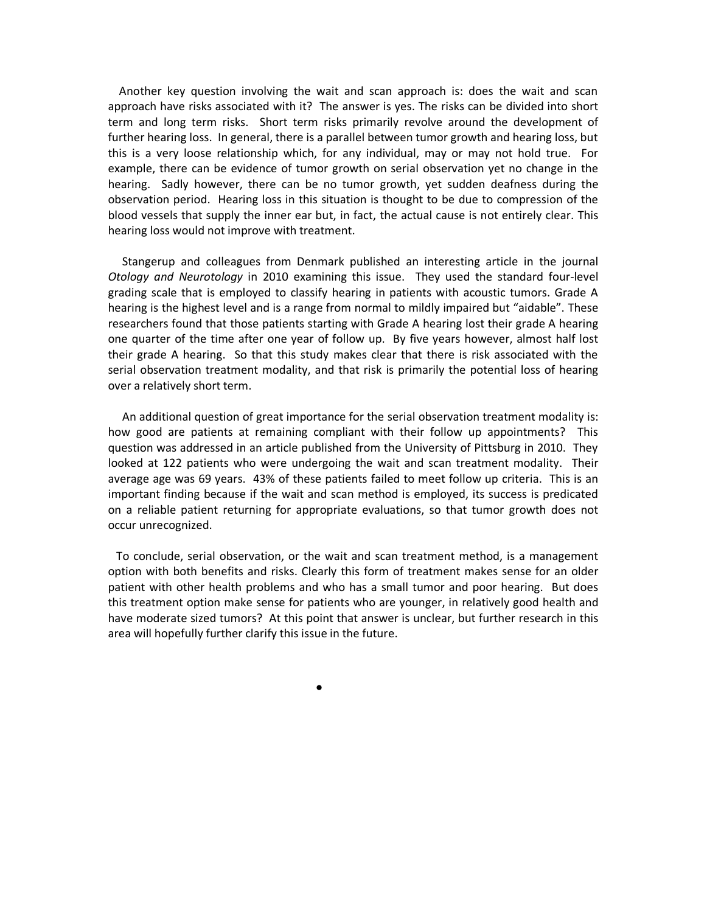Another key question involving the wait and scan approach is: does the wait and scan approach have risks associated with it? The answer is yes. The risks can be divided into short term and long term risks. Short term risks primarily revolve around the development of further hearing loss. In general, there is a parallel between tumor growth and hearing loss, but this is a very loose relationship which, for any individual, may or may not hold true. For example, there can be evidence of tumor growth on serial observation yet no change in the hearing. Sadly however, there can be no tumor growth, yet sudden deafness during the observation period. Hearing loss in this situation is thought to be due to compression of the blood vessels that supply the inner ear but, in fact, the actual cause is not entirely clear. This hearing loss would not improve with treatment.

 Stangerup and colleagues from Denmark published an interesting article in the journal *Otology and Neurotology* in 2010 examining this issue. They used the standard four-level grading scale that is employed to classify hearing in patients with acoustic tumors. Grade A hearing is the highest level and is a range from normal to mildly impaired but "aidable". These researchers found that those patients starting with Grade A hearing lost their grade A hearing one quarter of the time after one year of follow up. By five years however, almost half lost their grade A hearing. So that this study makes clear that there is risk associated with the serial observation treatment modality, and that risk is primarily the potential loss of hearing over a relatively short term.

 An additional question of great importance for the serial observation treatment modality is: how good are patients at remaining compliant with their follow up appointments? This question was addressed in an article published from the University of Pittsburg in 2010. They looked at 122 patients who were undergoing the wait and scan treatment modality. Their average age was 69 years. 43% of these patients failed to meet follow up criteria. This is an important finding because if the wait and scan method is employed, its success is predicated on a reliable patient returning for appropriate evaluations, so that tumor growth does not occur unrecognized.

 To conclude, serial observation, or the wait and scan treatment method, is a management option with both benefits and risks. Clearly this form of treatment makes sense for an older patient with other health problems and who has a small tumor and poor hearing. But does this treatment option make sense for patients who are younger, in relatively good health and have moderate sized tumors? At this point that answer is unclear, but further research in this area will hopefully further clarify this issue in the future.

●